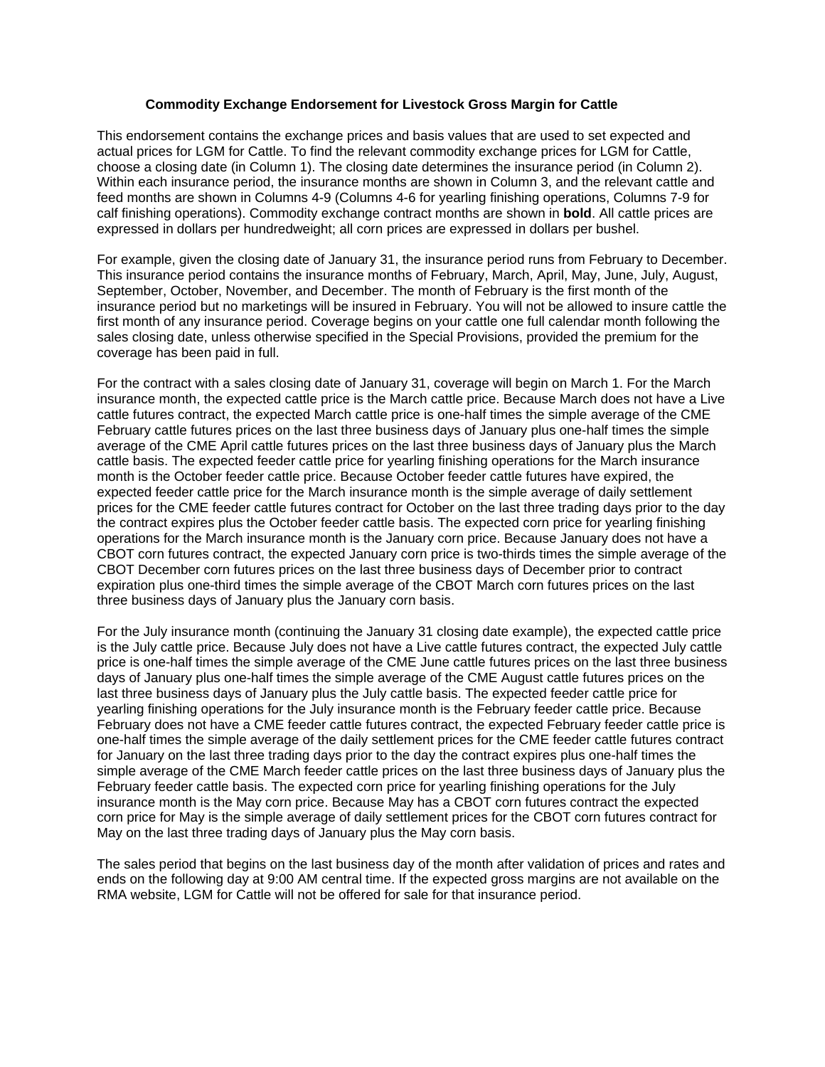## **Commodity Exchange Endorsement for Livestock Gross Margin for Cattle**

This endorsement contains the exchange prices and basis values that are used to set expected and actual prices for LGM for Cattle. To find the relevant commodity exchange prices for LGM for Cattle, choose a closing date (in Column 1). The closing date determines the insurance period (in Column 2). Within each insurance period, the insurance months are shown in Column 3, and the relevant cattle and feed months are shown in Columns 4-9 (Columns 4-6 for yearling finishing operations, Columns 7-9 for calf finishing operations). Commodity exchange contract months are shown in **bold**. All cattle prices are expressed in dollars per hundredweight; all corn prices are expressed in dollars per bushel.

For example, given the closing date of January 31, the insurance period runs from February to December. This insurance period contains the insurance months of February, March, April, May, June, July, August, September, October, November, and December. The month of February is the first month of the insurance period but no marketings will be insured in February. You will not be allowed to insure cattle the first month of any insurance period. Coverage begins on your cattle one full calendar month following the sales closing date, unless otherwise specified in the Special Provisions, provided the premium for the coverage has been paid in full.

For the contract with a sales closing date of January 31, coverage will begin on March 1. For the March insurance month, the expected cattle price is the March cattle price. Because March does not have a Live cattle futures contract, the expected March cattle price is one-half times the simple average of the CME February cattle futures prices on the last three business days of January plus one-half times the simple average of the CME April cattle futures prices on the last three business days of January plus the March cattle basis. The expected feeder cattle price for yearling finishing operations for the March insurance month is the October feeder cattle price. Because October feeder cattle futures have expired, the expected feeder cattle price for the March insurance month is the simple average of daily settlement prices for the CME feeder cattle futures contract for October on the last three trading days prior to the day the contract expires plus the October feeder cattle basis. The expected corn price for yearling finishing operations for the March insurance month is the January corn price. Because January does not have a CBOT corn futures contract, the expected January corn price is two-thirds times the simple average of the CBOT December corn futures prices on the last three business days of December prior to contract expiration plus one-third times the simple average of the CBOT March corn futures prices on the last three business days of January plus the January corn basis.

For the July insurance month (continuing the January 31 closing date example), the expected cattle price is the July cattle price. Because July does not have a Live cattle futures contract, the expected July cattle price is one-half times the simple average of the CME June cattle futures prices on the last three business days of January plus one-half times the simple average of the CME August cattle futures prices on the last three business days of January plus the July cattle basis. The expected feeder cattle price for yearling finishing operations for the July insurance month is the February feeder cattle price. Because February does not have a CME feeder cattle futures contract, the expected February feeder cattle price is one-half times the simple average of the daily settlement prices for the CME feeder cattle futures contract for January on the last three trading days prior to the day the contract expires plus one-half times the simple average of the CME March feeder cattle prices on the last three business days of January plus the February feeder cattle basis. The expected corn price for yearling finishing operations for the July insurance month is the May corn price. Because May has a CBOT corn futures contract the expected corn price for May is the simple average of daily settlement prices for the CBOT corn futures contract for May on the last three trading days of January plus the May corn basis.

The sales period that begins on the last business day of the month after validation of prices and rates and ends on the following day at 9:00 AM central time. If the expected gross margins are not available on the RMA website, LGM for Cattle will not be offered for sale for that insurance period.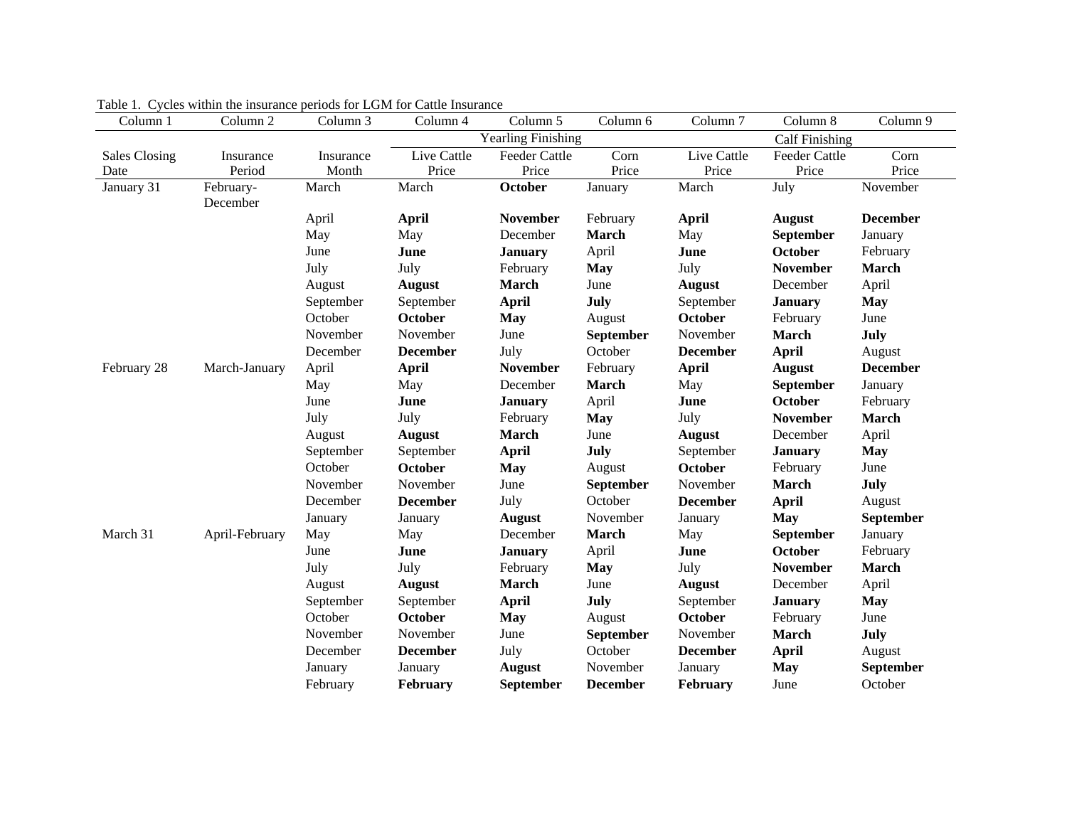| Column 1             | Column <sub>2</sub> | Column 3  | Column 4        | Column 5                  | Column 6        | Column <sub>7</sub> | Column 8              | Column 9        |
|----------------------|---------------------|-----------|-----------------|---------------------------|-----------------|---------------------|-----------------------|-----------------|
|                      |                     |           |                 | <b>Yearling Finishing</b> |                 |                     | <b>Calf Finishing</b> |                 |
| <b>Sales Closing</b> | Insurance           | Insurance | Live Cattle     | <b>Feeder Cattle</b>      | Corn            | Live Cattle         | <b>Feeder Cattle</b>  | Corn            |
| Date                 | Period              | Month     | Price           | Price                     | Price           | Price               | Price                 | Price           |
| January 31           | February-           | March     | March           | October                   | January         | March               | July                  | November        |
|                      | December            |           |                 |                           |                 |                     |                       |                 |
|                      |                     | April     | <b>April</b>    | <b>November</b>           | February        | <b>April</b>        | <b>August</b>         | <b>December</b> |
|                      |                     | May       | May             | December                  | <b>March</b>    | May                 | September             | January         |
|                      |                     | June      | June            | <b>January</b>            | April           | June                | October               | February        |
|                      |                     | July      | July            | February                  | <b>May</b>      | July                | <b>November</b>       | <b>March</b>    |
|                      |                     | August    | <b>August</b>   | <b>March</b>              | June            | <b>August</b>       | December              | April           |
|                      |                     | September | September       | <b>April</b>              | July            | September           | <b>January</b>        | <b>May</b>      |
|                      |                     | October   | October         | <b>May</b>                | August          | October             | February              | June            |
|                      |                     | November  | November        | June                      | September       | November            | <b>March</b>          | July            |
|                      |                     | December  | <b>December</b> | July                      | October         | <b>December</b>     | <b>April</b>          | August          |
| February 28          | March-January       | April     | <b>April</b>    | <b>November</b>           | February        | <b>April</b>        | <b>August</b>         | <b>December</b> |
|                      |                     | May       | May             | December                  | <b>March</b>    | May                 | September             | January         |
|                      |                     | June      | June            | <b>January</b>            | April           | June                | October               | February        |
|                      |                     | July      | July            | February                  | <b>May</b>      | July                | <b>November</b>       | <b>March</b>    |
|                      |                     | August    | <b>August</b>   | <b>March</b>              | June            | <b>August</b>       | December              | April           |
|                      |                     | September | September       | <b>April</b>              | July            | September           | <b>January</b>        | <b>May</b>      |
|                      |                     | October   | October         | <b>May</b>                | August          | October             | February              | June            |
|                      |                     | November  | November        | June                      | September       | November            | <b>March</b>          | July            |
|                      |                     | December  | <b>December</b> | July                      | October         | <b>December</b>     | <b>April</b>          | August          |
|                      |                     | January   | January         | <b>August</b>             | November        | January             | <b>May</b>            | September       |
| March 31             | April-February      | May       | May             | December                  | <b>March</b>    | May                 | September             | January         |
|                      |                     | June      | June            | <b>January</b>            | April           | June                | <b>October</b>        | February        |
|                      |                     | July      | July            | February                  | May             | July                | <b>November</b>       | March           |
|                      |                     | August    | <b>August</b>   | March                     | June            | <b>August</b>       | December              | April           |
|                      |                     | September | September       | <b>April</b>              | July            | September           | <b>January</b>        | <b>May</b>      |
|                      |                     | October   | October         | <b>May</b>                | August          | <b>October</b>      | February              | June            |
|                      |                     | November  | November        | June                      | September       | November            | <b>March</b>          | July            |
|                      |                     | December  | <b>December</b> | July                      | October         | <b>December</b>     | <b>April</b>          | August          |
|                      |                     | January   | January         | <b>August</b>             | November        | January             | <b>May</b>            | September       |
|                      |                     | February  | February        | <b>September</b>          | <b>December</b> | <b>February</b>     | June                  | October         |

|  |  |  | Table 1. Cycles within the insurance periods for LGM for Cattle Insurance |  |  |  |  |
|--|--|--|---------------------------------------------------------------------------|--|--|--|--|
|  |  |  |                                                                           |  |  |  |  |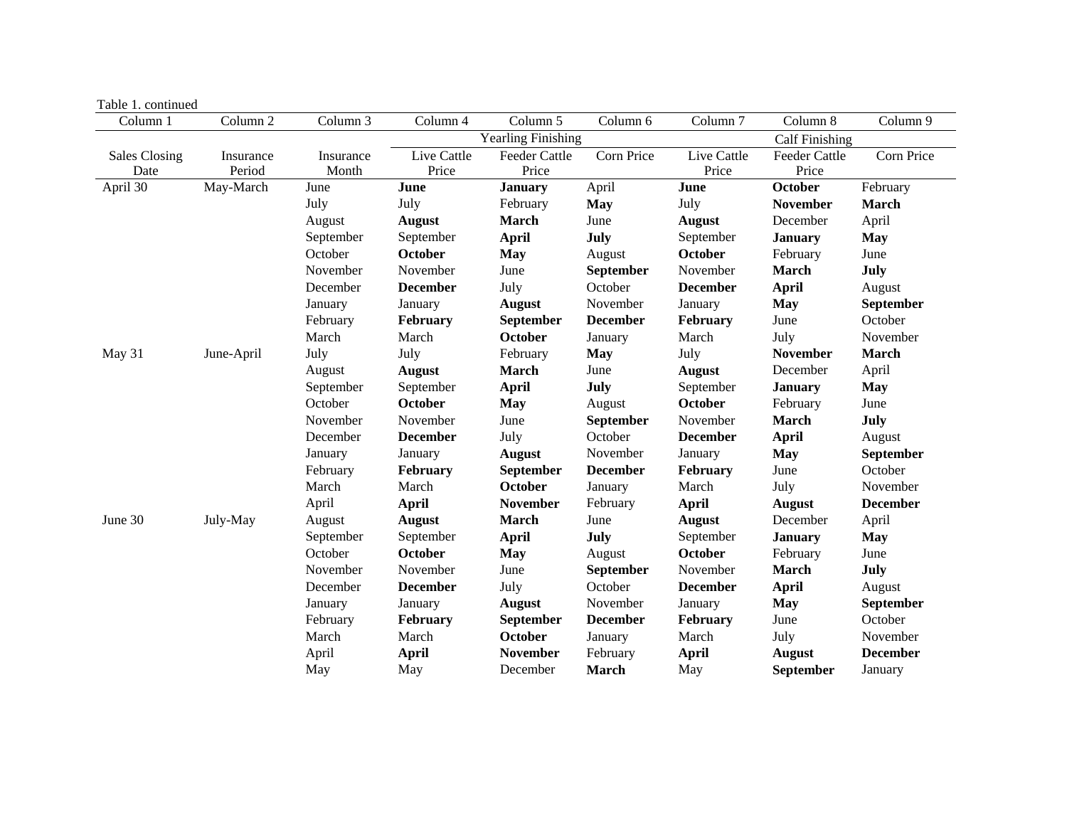| Table 1. continued   |                     |           |                 |                           |                 |                     |                       |                 |
|----------------------|---------------------|-----------|-----------------|---------------------------|-----------------|---------------------|-----------------------|-----------------|
| Column 1             | Column <sub>2</sub> | Column 3  | Column 4        | Column 5                  | Column 6        | Column <sub>7</sub> | Column 8              | Column 9        |
|                      |                     |           |                 | <b>Yearling Finishing</b> |                 |                     | <b>Calf Finishing</b> |                 |
| <b>Sales Closing</b> | Insurance           | Insurance | Live Cattle     | <b>Feeder Cattle</b>      | Corn Price      | Live Cattle         | <b>Feeder Cattle</b>  | Corn Price      |
| Date                 | Period              | Month     | Price           | Price                     |                 | Price               | Price                 |                 |
| April 30             | May-March           | June      | June            | <b>January</b>            | April           | June                | <b>October</b>        | February        |
|                      |                     | July      | July            | February                  | <b>May</b>      | July                | <b>November</b>       | March           |
|                      |                     | August    | <b>August</b>   | <b>March</b>              | June            | <b>August</b>       | December              | April           |
|                      |                     | September | September       | <b>April</b>              | July            | September           | <b>January</b>        | <b>May</b>      |
|                      |                     | October   | October         | <b>May</b>                | August          | October             | February              | June            |
|                      |                     | November  | November        | June                      | September       | November            | <b>March</b>          | July            |
|                      |                     | December  | <b>December</b> | July                      | October         | <b>December</b>     | <b>April</b>          | August          |
|                      |                     | January   | January         | <b>August</b>             | November        | January             | <b>May</b>            | September       |
|                      |                     | February  | February        | <b>September</b>          | <b>December</b> | February            | June                  | October         |
|                      |                     | March     | March           | October                   | January         | March               | July                  | November        |
| May 31               | June-April          | July      | July            | February                  | <b>May</b>      | July                | <b>November</b>       | <b>March</b>    |
|                      |                     | August    | <b>August</b>   | <b>March</b>              | June            | <b>August</b>       | December              | April           |
|                      |                     | September | September       | <b>April</b>              | July            | September           | <b>January</b>        | <b>May</b>      |
|                      |                     | October   | October         | <b>May</b>                | August          | October             | February              | June            |
|                      |                     | November  | November        | June                      | September       | November            | <b>March</b>          | July            |
|                      |                     | December  | <b>December</b> | July                      | October         | <b>December</b>     | <b>April</b>          | August          |
|                      |                     | January   | January         | <b>August</b>             | November        | January             | <b>May</b>            | September       |
|                      |                     | February  | February        | September                 | <b>December</b> | February            | June                  | October         |
|                      |                     | March     | March           | <b>October</b>            | January         | March               | July                  | November        |
|                      |                     | April     | <b>April</b>    | <b>November</b>           | February        | <b>April</b>        | <b>August</b>         | <b>December</b> |
| June 30              | July-May            | August    | <b>August</b>   | <b>March</b>              | June            | <b>August</b>       | December              | April           |
|                      |                     | September | September       | <b>April</b>              | July            | September           | <b>January</b>        | <b>May</b>      |
|                      |                     | October   | <b>October</b>  | <b>May</b>                | August          | <b>October</b>      | February              | June            |
|                      |                     | November  | November        | June                      | September       | November            | <b>March</b>          | July            |
|                      |                     | December  | <b>December</b> | July                      | October         | <b>December</b>     | <b>April</b>          | August          |
|                      |                     | January   | January         | <b>August</b>             | November        | January             | <b>May</b>            | September       |
|                      |                     | February  | February        | September                 | <b>December</b> | February            | June                  | October         |
|                      |                     | March     | March           | <b>October</b>            | January         | March               | July                  | November        |
|                      |                     | April     | <b>April</b>    | <b>November</b>           | February        | <b>April</b>        | <b>August</b>         | <b>December</b> |
|                      |                     | May       | May             | December                  | <b>March</b>    | May                 | <b>September</b>      | January         |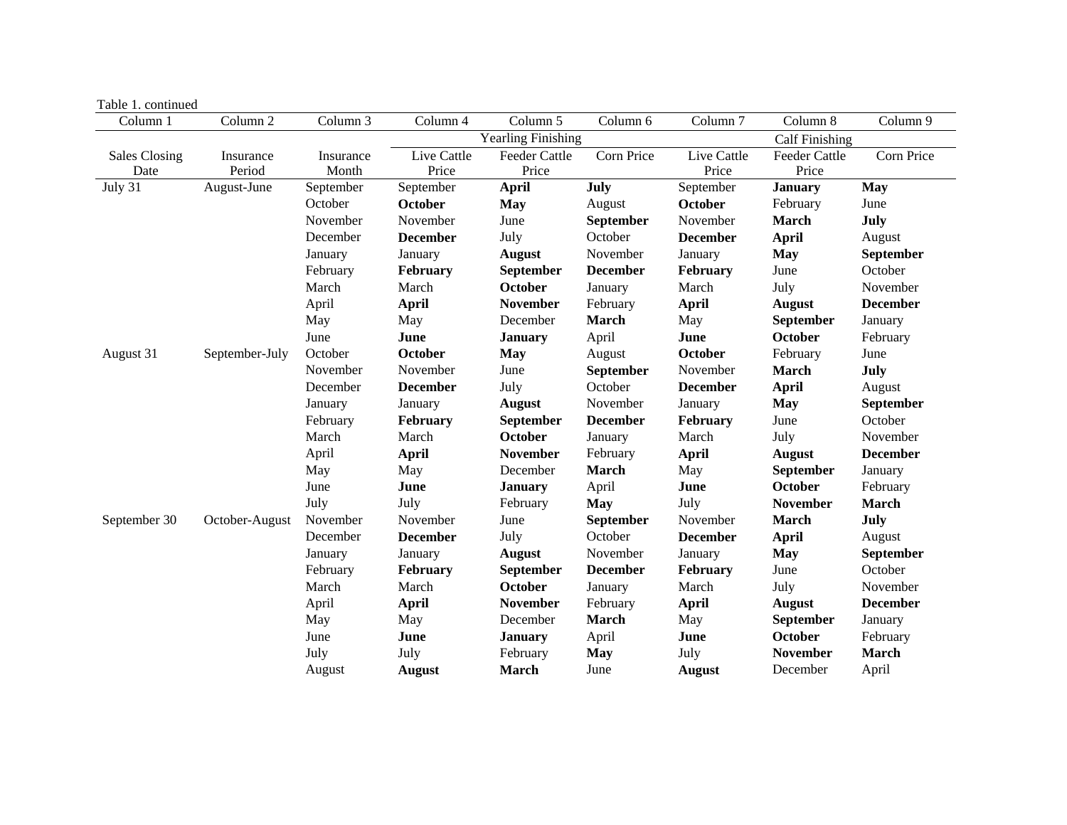| Column 1             | Column <sub>2</sub> | Column 3  | Column 4        | Column 5                  | Column 6        | Column 7        | Column 8              | Column 9        |
|----------------------|---------------------|-----------|-----------------|---------------------------|-----------------|-----------------|-----------------------|-----------------|
|                      |                     |           |                 | <b>Yearling Finishing</b> |                 |                 | <b>Calf Finishing</b> |                 |
| <b>Sales Closing</b> | Insurance           | Insurance | Live Cattle     | <b>Feeder Cattle</b>      | Corn Price      | Live Cattle     | <b>Feeder Cattle</b>  | Corn Price      |
| Date                 | Period              | Month     | Price           | Price                     |                 | Price           | Price                 |                 |
| July 31              | August-June         | September | September       | <b>April</b>              | July            | September       | <b>January</b>        | <b>May</b>      |
|                      |                     | October   | October         | <b>May</b>                | August          | October         | February              | June            |
|                      |                     | November  | November        | June                      | September       | November        | <b>March</b>          | July            |
|                      |                     | December  | <b>December</b> | July                      | October         | <b>December</b> | <b>April</b>          | August          |
|                      |                     | January   | January         | <b>August</b>             | November        | January         | <b>May</b>            | September       |
|                      |                     | February  | February        | <b>September</b>          | <b>December</b> | <b>February</b> | June                  | October         |
|                      |                     | March     | March           | October                   | January         | March           | July                  | November        |
|                      |                     | April     | <b>April</b>    | <b>November</b>           | February        | <b>April</b>    | <b>August</b>         | <b>December</b> |
|                      |                     | May       | May             | December                  | <b>March</b>    | May             | <b>September</b>      | January         |
|                      |                     | June      | June            | <b>January</b>            | April           | June            | <b>October</b>        | February        |
| August 31            | September-July      | October   | <b>October</b>  | <b>May</b>                | August          | October         | February              | June            |
|                      |                     | November  | November        | June                      | September       | November        | <b>March</b>          | July            |
|                      |                     | December  | <b>December</b> | July                      | October         | <b>December</b> | <b>April</b>          | August          |
|                      |                     | January   | January         | <b>August</b>             | November        | January         | <b>May</b>            | September       |
|                      |                     | February  | February        | September                 | <b>December</b> | February        | June                  | October         |
|                      |                     | March     | March           | October                   | January         | March           | July                  | November        |
|                      |                     | April     | <b>April</b>    | <b>November</b>           | February        | <b>April</b>    | <b>August</b>         | <b>December</b> |
|                      |                     | May       | May             | December                  | <b>March</b>    | May             | September             | January         |
|                      |                     | June      | June            | <b>January</b>            | April           | June            | October               | February        |
|                      |                     | July      | July            | February                  | <b>May</b>      | July            | <b>November</b>       | <b>March</b>    |
| September 30         | October-August      | November  | November        | June                      | September       | November        | <b>March</b>          | July            |
|                      |                     | December  | <b>December</b> | July                      | October         | <b>December</b> | April                 | August          |
|                      |                     | January   | January         | <b>August</b>             | November        | January         | <b>May</b>            | September       |
|                      |                     | February  | February        | September                 | <b>December</b> | February        | June                  | October         |
|                      |                     | March     | March           | October                   | January         | March           | July                  | November        |
|                      |                     | April     | <b>April</b>    | <b>November</b>           | February        | <b>April</b>    | <b>August</b>         | <b>December</b> |
|                      |                     | May       | May             | December                  | <b>March</b>    | May             | <b>September</b>      | January         |
|                      |                     | June      | June            | <b>January</b>            | April           | June            | October               | February        |
|                      |                     | July      | July            | February                  | <b>May</b>      | July            | <b>November</b>       | <b>March</b>    |
|                      |                     | August    | <b>August</b>   | <b>March</b>              | June            | <b>August</b>   | December              | April           |

Table 1. continued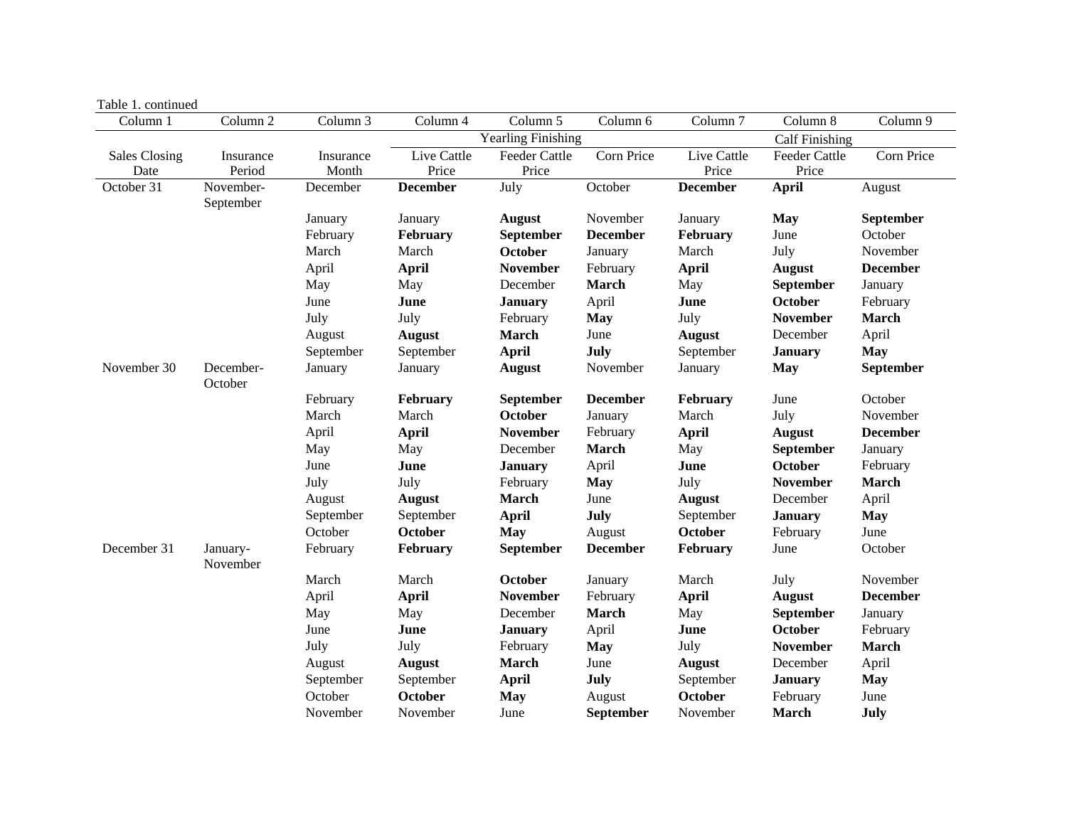| Table 1. continued   |                        |           |                 |                           |                  |                     |                       |                 |
|----------------------|------------------------|-----------|-----------------|---------------------------|------------------|---------------------|-----------------------|-----------------|
| Column 1             | Column 2               | Column 3  | Column 4        | Column 5                  | Column 6         | Column <sub>7</sub> | Column 8              | Column 9        |
|                      |                        |           |                 | <b>Yearling Finishing</b> |                  |                     | <b>Calf Finishing</b> |                 |
| <b>Sales Closing</b> | Insurance              | Insurance | Live Cattle     | <b>Feeder Cattle</b>      | Corn Price       | Live Cattle         | <b>Feeder Cattle</b>  | Corn Price      |
| Date                 | Period                 | Month     | Price           | Price                     |                  | Price               | Price                 |                 |
| October 31           | November-<br>September | December  | <b>December</b> | July                      | October          | <b>December</b>     | <b>April</b>          | August          |
|                      |                        | January   | January         | <b>August</b>             | November         | January             | <b>May</b>            | September       |
|                      |                        | February  | February        | September                 | <b>December</b>  | February            | June                  | October         |
|                      |                        | March     | March           | October                   | January          | March               | July                  | November        |
|                      |                        | April     | <b>April</b>    | <b>November</b>           | February         | <b>April</b>        | <b>August</b>         | <b>December</b> |
|                      |                        | May       | May             | December                  | <b>March</b>     | May                 | September             | January         |
|                      |                        | June      | June            | <b>January</b>            | April            | June                | October               | February        |
|                      |                        | July      | July            | February                  | <b>May</b>       | July                | <b>November</b>       | March           |
|                      |                        | August    | <b>August</b>   | <b>March</b>              | June             | <b>August</b>       | December              | April           |
|                      |                        | September | September       | <b>April</b>              | July             | September           | <b>January</b>        | <b>May</b>      |
| November 30          | December-<br>October   | January   | January         | <b>August</b>             | November         | January             | <b>May</b>            | September       |
|                      |                        | February  | February        | September                 | <b>December</b>  | February            | June                  | October         |
|                      |                        | March     | March           | October                   | January          | March               | July                  | November        |
|                      |                        | April     | <b>April</b>    | <b>November</b>           | February         | <b>April</b>        | <b>August</b>         | <b>December</b> |
|                      |                        | May       | May             | December                  | <b>March</b>     | May                 | September             | January         |
|                      |                        | June      | June            | <b>January</b>            | April            | June                | October               | February        |
|                      |                        | July      | July            | February                  | <b>May</b>       | July                | <b>November</b>       | <b>March</b>    |
|                      |                        | August    | <b>August</b>   | <b>March</b>              | June             | <b>August</b>       | December              | April           |
|                      |                        | September | September       | <b>April</b>              | July             | September           | <b>January</b>        | <b>May</b>      |
|                      |                        | October   | October         | <b>May</b>                | August           | <b>October</b>      | February              | June            |
| December 31          | January-<br>November   | February  | February        | September                 | <b>December</b>  | February            | June                  | October         |
|                      |                        | March     | March           | October                   | January          | March               | July                  | November        |
|                      |                        | April     | <b>April</b>    | <b>November</b>           | February         | <b>April</b>        | <b>August</b>         | <b>December</b> |
|                      |                        | May       | May             | December                  | <b>March</b>     | May                 | September             | January         |
|                      |                        | June      | June            | <b>January</b>            | April            | June                | October               | February        |
|                      |                        | July      | July            | February                  | <b>May</b>       | July                | <b>November</b>       | <b>March</b>    |
|                      |                        | August    | <b>August</b>   | <b>March</b>              | June             | <b>August</b>       | December              | April           |
|                      |                        | September | September       | <b>April</b>              | July             | September           | <b>January</b>        | <b>May</b>      |
|                      |                        | October   | <b>October</b>  | <b>May</b>                | August           | <b>October</b>      | February              | June            |
|                      |                        | November  | November        | June                      | <b>September</b> | November            | <b>March</b>          | July            |
|                      |                        |           |                 |                           |                  |                     |                       |                 |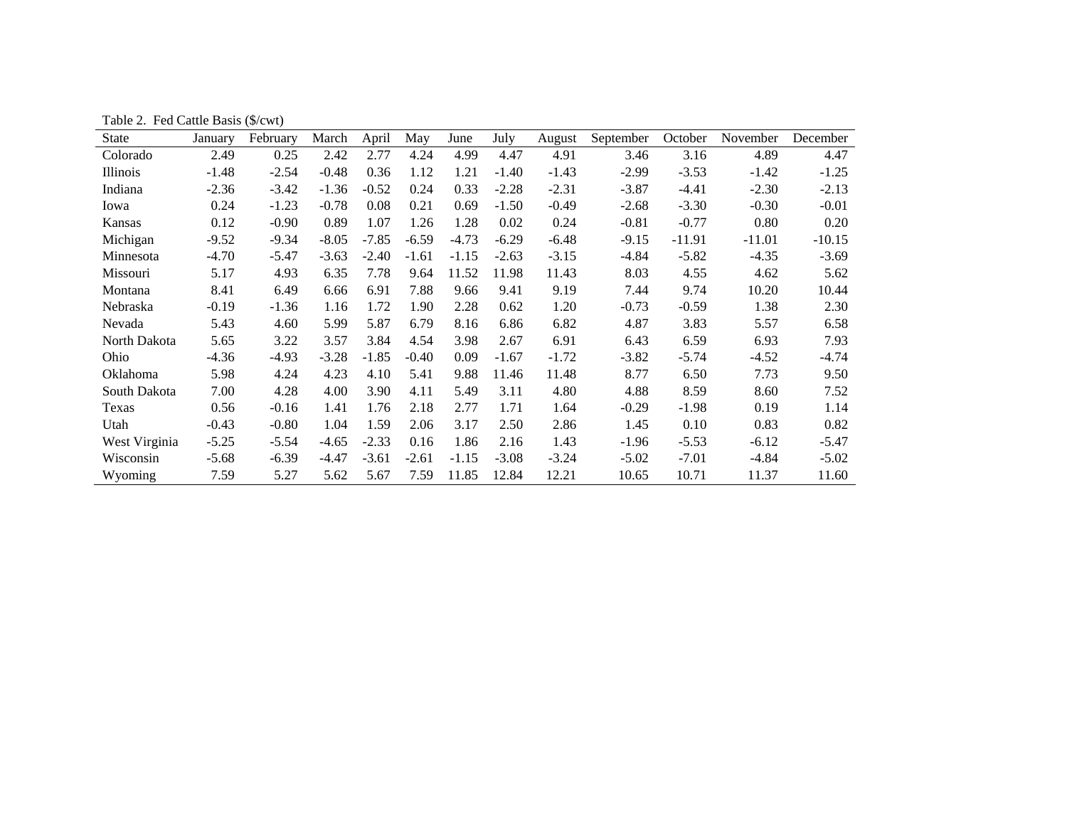Table 2. Fed Cattle Basis (\$/cwt)

| <b>State</b>  | January | February | March   | April   | May     | June    | July    | August  | September | October  | November | December |
|---------------|---------|----------|---------|---------|---------|---------|---------|---------|-----------|----------|----------|----------|
| Colorado      | 2.49    | 0.25     | 2.42    | 2.77    | 4.24    | 4.99    | 4.47    | 4.91    | 3.46      | 3.16     | 4.89     | 4.47     |
| Illinois      | $-1.48$ | $-2.54$  | $-0.48$ | 0.36    | 1.12    | 1.21    | $-1.40$ | $-1.43$ | $-2.99$   | $-3.53$  | $-1.42$  | $-1.25$  |
| Indiana       | $-2.36$ | $-3.42$  | $-1.36$ | $-0.52$ | 0.24    | 0.33    | $-2.28$ | $-2.31$ | $-3.87$   | $-4.41$  | $-2.30$  | $-2.13$  |
| Iowa          | 0.24    | $-1.23$  | $-0.78$ | 0.08    | 0.21    | 0.69    | $-1.50$ | $-0.49$ | $-2.68$   | $-3.30$  | $-0.30$  | $-0.01$  |
| Kansas        | 0.12    | $-0.90$  | 0.89    | 1.07    | 1.26    | 1.28    | 0.02    | 0.24    | $-0.81$   | $-0.77$  | 0.80     | 0.20     |
| Michigan      | $-9.52$ | $-9.34$  | $-8.05$ | $-7.85$ | $-6.59$ | $-4.73$ | $-6.29$ | $-6.48$ | $-9.15$   | $-11.91$ | $-11.01$ | $-10.15$ |
| Minnesota     | $-4.70$ | $-5.47$  | $-3.63$ | $-2.40$ | $-1.61$ | $-1.15$ | $-2.63$ | $-3.15$ | $-4.84$   | $-5.82$  | $-4.35$  | $-3.69$  |
| Missouri      | 5.17    | 4.93     | 6.35    | 7.78    | 9.64    | 11.52   | 11.98   | 11.43   | 8.03      | 4.55     | 4.62     | 5.62     |
| Montana       | 8.41    | 6.49     | 6.66    | 6.91    | 7.88    | 9.66    | 9.41    | 9.19    | 7.44      | 9.74     | 10.20    | 10.44    |
| Nebraska      | $-0.19$ | $-1.36$  | 1.16    | 1.72    | 1.90    | 2.28    | 0.62    | 1.20    | $-0.73$   | $-0.59$  | 1.38     | 2.30     |
| Nevada        | 5.43    | 4.60     | 5.99    | 5.87    | 6.79    | 8.16    | 6.86    | 6.82    | 4.87      | 3.83     | 5.57     | 6.58     |
| North Dakota  | 5.65    | 3.22     | 3.57    | 3.84    | 4.54    | 3.98    | 2.67    | 6.91    | 6.43      | 6.59     | 6.93     | 7.93     |
| Ohio          | $-4.36$ | $-4.93$  | $-3.28$ | $-1.85$ | $-0.40$ | 0.09    | $-1.67$ | $-1.72$ | $-3.82$   | $-5.74$  | -4.52    | $-4.74$  |
| Oklahoma      | 5.98    | 4.24     | 4.23    | 4.10    | 5.41    | 9.88    | 11.46   | 11.48   | 8.77      | 6.50     | 7.73     | 9.50     |
| South Dakota  | 7.00    | 4.28     | 4.00    | 3.90    | 4.11    | 5.49    | 3.11    | 4.80    | 4.88      | 8.59     | 8.60     | 7.52     |
| Texas         | 0.56    | $-0.16$  | 1.41    | 1.76    | 2.18    | 2.77    | 1.71    | 1.64    | $-0.29$   | $-1.98$  | 0.19     | 1.14     |
| Utah          | $-0.43$ | $-0.80$  | 1.04    | 1.59    | 2.06    | 3.17    | 2.50    | 2.86    | 1.45      | 0.10     | 0.83     | 0.82     |
| West Virginia | $-5.25$ | $-5.54$  | $-4.65$ | $-2.33$ | 0.16    | 1.86    | 2.16    | 1.43    | $-1.96$   | $-5.53$  | $-6.12$  | $-5.47$  |
| Wisconsin     | $-5.68$ | $-6.39$  | $-4.47$ | $-3.61$ | $-2.61$ | $-1.15$ | $-3.08$ | $-3.24$ | $-5.02$   | $-7.01$  | $-4.84$  | $-5.02$  |
| Wyoming       | 7.59    | 5.27     | 5.62    | 5.67    | 7.59    | 11.85   | 12.84   | 12.21   | 10.65     | 10.71    | 11.37    | 11.60    |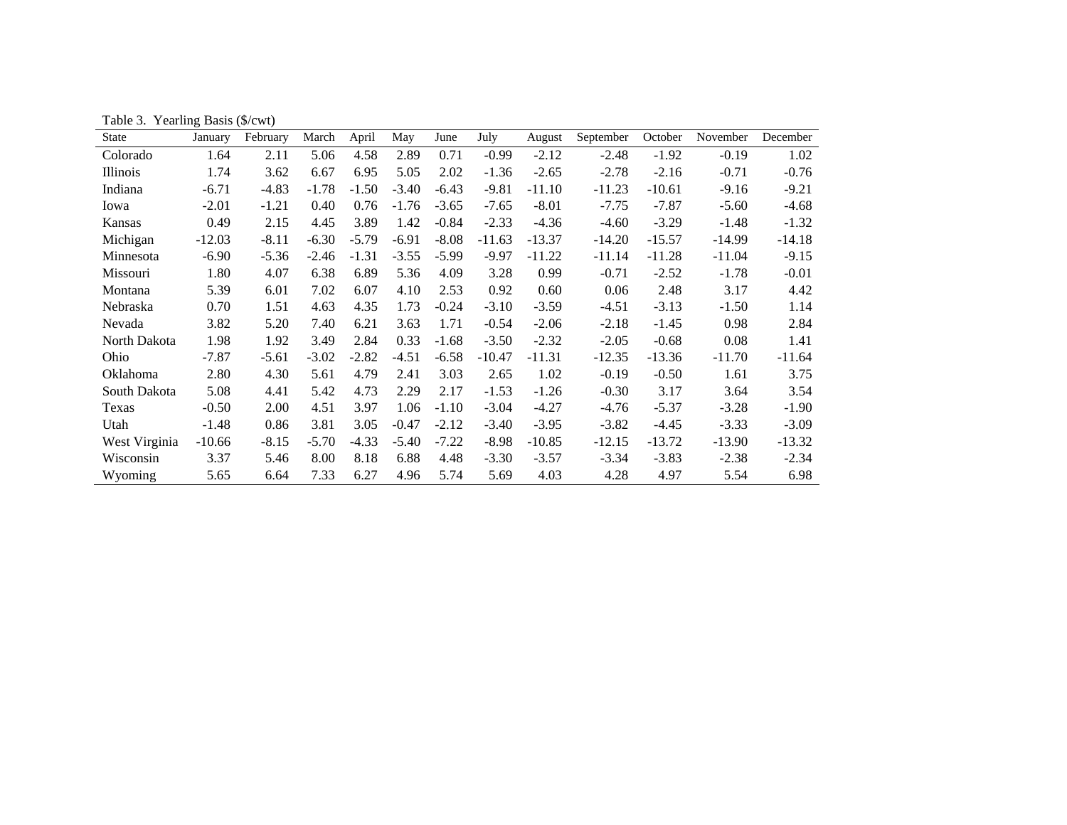Table 3. Yearling Basis (\$/cwt)

| <b>State</b>  | January  | February | March   | April   | May     | June    | July     | August   | September | October  | November | December |
|---------------|----------|----------|---------|---------|---------|---------|----------|----------|-----------|----------|----------|----------|
| Colorado      | 1.64     | 2.11     | 5.06    | 4.58    | 2.89    | 0.71    | $-0.99$  | $-2.12$  | $-2.48$   | $-1.92$  | $-0.19$  | 1.02     |
| Illinois      | 1.74     | 3.62     | 6.67    | 6.95    | 5.05    | 2.02    | $-1.36$  | $-2.65$  | $-2.78$   | $-2.16$  | $-0.71$  | $-0.76$  |
| Indiana       | $-6.71$  | $-4.83$  | $-1.78$ | $-1.50$ | $-3.40$ | $-6.43$ | $-9.81$  | $-11.10$ | $-11.23$  | $-10.61$ | $-9.16$  | $-9.21$  |
| Iowa          | $-2.01$  | $-1.21$  | 0.40    | 0.76    | $-1.76$ | $-3.65$ | $-7.65$  | $-8.01$  | $-7.75$   | -7.87    | $-5.60$  | $-4.68$  |
| Kansas        | 0.49     | 2.15     | 4.45    | 3.89    | 1.42    | $-0.84$ | $-2.33$  | $-4.36$  | $-4.60$   | $-3.29$  | $-1.48$  | $-1.32$  |
| Michigan      | $-12.03$ | $-8.11$  | $-6.30$ | $-5.79$ | $-6.91$ | $-8.08$ | $-11.63$ | $-13.37$ | $-14.20$  | $-15.57$ | $-14.99$ | $-14.18$ |
| Minnesota     | $-6.90$  | $-5.36$  | $-2.46$ | $-1.31$ | $-3.55$ | $-5.99$ | $-9.97$  | $-11.22$ | $-11.14$  | $-11.28$ | $-11.04$ | $-9.15$  |
| Missouri      | 1.80     | 4.07     | 6.38    | 6.89    | 5.36    | 4.09    | 3.28     | 0.99     | $-0.71$   | $-2.52$  | $-1.78$  | $-0.01$  |
| Montana       | 5.39     | 6.01     | 7.02    | 6.07    | 4.10    | 2.53    | 0.92     | 0.60     | 0.06      | 2.48     | 3.17     | 4.42     |
| Nebraska      | 0.70     | 1.51     | 4.63    | 4.35    | 1.73    | $-0.24$ | $-3.10$  | $-3.59$  | $-4.51$   | $-3.13$  | $-1.50$  | 1.14     |
| Nevada        | 3.82     | 5.20     | 7.40    | 6.21    | 3.63    | 1.71    | $-0.54$  | $-2.06$  | $-2.18$   | $-1.45$  | 0.98     | 2.84     |
| North Dakota  | 1.98     | 1.92     | 3.49    | 2.84    | 0.33    | $-1.68$ | $-3.50$  | $-2.32$  | $-2.05$   | $-0.68$  | 0.08     | 1.41     |
| Ohio          | $-7.87$  | $-5.61$  | $-3.02$ | $-2.82$ | $-4.51$ | $-6.58$ | $-10.47$ | $-11.31$ | $-12.35$  | $-13.36$ | $-11.70$ | $-11.64$ |
| Oklahoma      | 2.80     | 4.30     | 5.61    | 4.79    | 2.41    | 3.03    | 2.65     | 1.02     | $-0.19$   | $-0.50$  | 1.61     | 3.75     |
| South Dakota  | 5.08     | 4.41     | 5.42    | 4.73    | 2.29    | 2.17    | $-1.53$  | $-1.26$  | $-0.30$   | 3.17     | 3.64     | 3.54     |
| Texas         | $-0.50$  | 2.00     | 4.51    | 3.97    | 1.06    | $-1.10$ | $-3.04$  | $-4.27$  | $-4.76$   | $-5.37$  | $-3.28$  | $-1.90$  |
| Utah          | $-1.48$  | 0.86     | 3.81    | 3.05    | $-0.47$ | $-2.12$ | $-3.40$  | $-3.95$  | $-3.82$   | $-4.45$  | $-3.33$  | $-3.09$  |
| West Virginia | $-10.66$ | $-8.15$  | $-5.70$ | $-4.33$ | $-5.40$ | $-7.22$ | $-8.98$  | $-10.85$ | $-12.15$  | $-13.72$ | $-13.90$ | $-13.32$ |
| Wisconsin     | 3.37     | 5.46     | 8.00    | 8.18    | 6.88    | 4.48    | $-3.30$  | $-3.57$  | $-3.34$   | $-3.83$  | $-2.38$  | $-2.34$  |
| Wyoming       | 5.65     | 6.64     | 7.33    | 6.27    | 4.96    | 5.74    | 5.69     | 4.03     | 4.28      | 4.97     | 5.54     | 6.98     |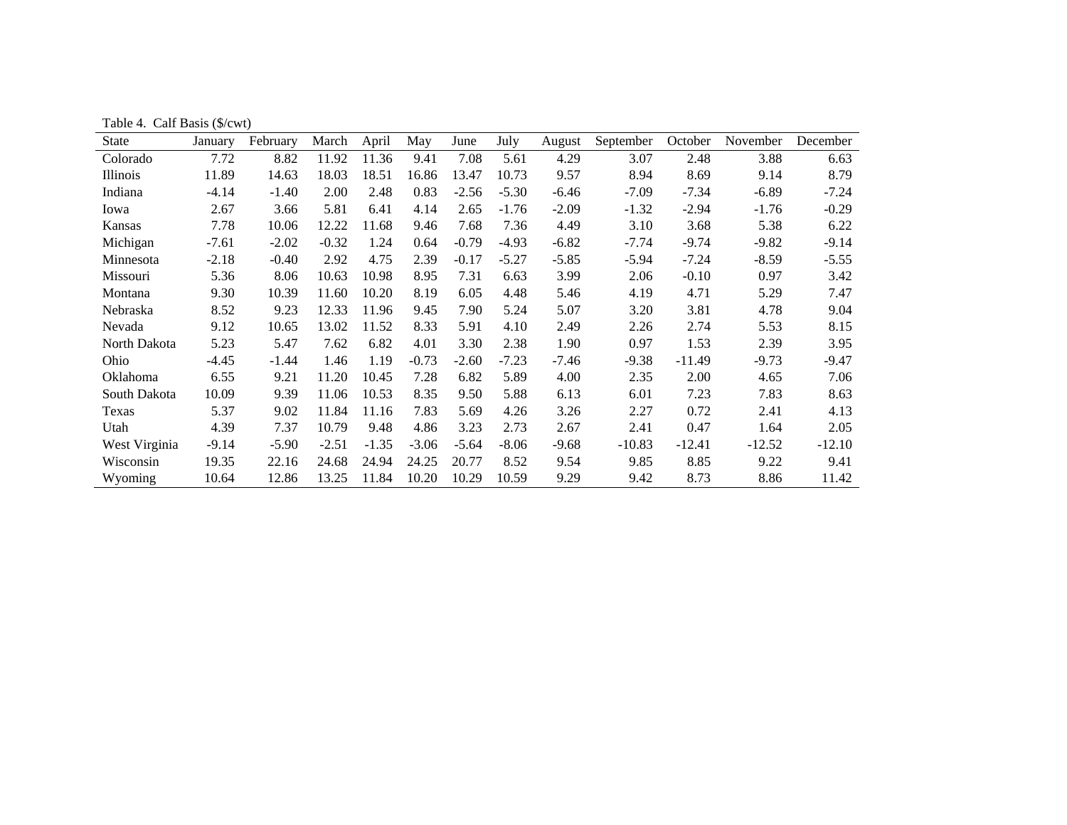| <b>State</b>    | January | February | March   | April   | May     | June    | July    | August  | September | October  | November | December |
|-----------------|---------|----------|---------|---------|---------|---------|---------|---------|-----------|----------|----------|----------|
| Colorado        | 7.72    | 8.82     | 11.92   | 11.36   | 9.41    | 7.08    | 5.61    | 4.29    | 3.07      | 2.48     | 3.88     | 6.63     |
| Illinois        | 11.89   | 14.63    | 18.03   | 18.51   | 16.86   | 13.47   | 10.73   | 9.57    | 8.94      | 8.69     | 9.14     | 8.79     |
| Indiana         | $-4.14$ | $-1.40$  | 2.00    | 2.48    | 0.83    | $-2.56$ | $-5.30$ | $-6.46$ | $-7.09$   | $-7.34$  | $-6.89$  | $-7.24$  |
| Iowa            | 2.67    | 3.66     | 5.81    | 6.41    | 4.14    | 2.65    | $-1.76$ | $-2.09$ | $-1.32$   | $-2.94$  | $-1.76$  | $-0.29$  |
| Kansas          | 7.78    | 10.06    | 12.22   | 11.68   | 9.46    | 7.68    | 7.36    | 4.49    | 3.10      | 3.68     | 5.38     | 6.22     |
| Michigan        | $-7.61$ | $-2.02$  | $-0.32$ | 1.24    | 0.64    | $-0.79$ | $-4.93$ | $-6.82$ | $-7.74$   | $-9.74$  | $-9.82$  | $-9.14$  |
| Minnesota       | $-2.18$ | $-0.40$  | 2.92    | 4.75    | 2.39    | $-0.17$ | $-5.27$ | $-5.85$ | $-5.94$   | $-7.24$  | $-8.59$  | $-5.55$  |
| Missouri        | 5.36    | 8.06     | 10.63   | 10.98   | 8.95    | 7.31    | 6.63    | 3.99    | 2.06      | $-0.10$  | 0.97     | 3.42     |
| Montana         | 9.30    | 10.39    | 11.60   | 10.20   | 8.19    | 6.05    | 4.48    | 5.46    | 4.19      | 4.71     | 5.29     | 7.47     |
| Nebraska        | 8.52    | 9.23     | 12.33   | 11.96   | 9.45    | 7.90    | 5.24    | 5.07    | 3.20      | 3.81     | 4.78     | 9.04     |
| Nevada          | 9.12    | 10.65    | 13.02   | 11.52   | 8.33    | 5.91    | 4.10    | 2.49    | 2.26      | 2.74     | 5.53     | 8.15     |
| North Dakota    | 5.23    | 5.47     | 7.62    | 6.82    | 4.01    | 3.30    | 2.38    | 1.90    | 0.97      | 1.53     | 2.39     | 3.95     |
| Ohio            | $-4.45$ | $-1.44$  | 1.46    | 1.19    | $-0.73$ | $-2.60$ | $-7.23$ | $-7.46$ | $-9.38$   | $-11.49$ | $-9.73$  | -9.47    |
| <b>Oklahoma</b> | 6.55    | 9.21     | 11.20   | 10.45   | 7.28    | 6.82    | 5.89    | 4.00    | 2.35      | 2.00     | 4.65     | 7.06     |
| South Dakota    | 10.09   | 9.39     | 11.06   | 10.53   | 8.35    | 9.50    | 5.88    | 6.13    | 6.01      | 7.23     | 7.83     | 8.63     |
| Texas           | 5.37    | 9.02     | 11.84   | 11.16   | 7.83    | 5.69    | 4.26    | 3.26    | 2.27      | 0.72     | 2.41     | 4.13     |
| Utah            | 4.39    | 7.37     | 10.79   | 9.48    | 4.86    | 3.23    | 2.73    | 2.67    | 2.41      | 0.47     | 1.64     | 2.05     |
| West Virginia   | $-9.14$ | $-5.90$  | $-2.51$ | $-1.35$ | $-3.06$ | $-5.64$ | $-8.06$ | $-9.68$ | $-10.83$  | $-12.41$ | $-12.52$ | $-12.10$ |
| Wisconsin       | 19.35   | 22.16    | 24.68   | 24.94   | 24.25   | 20.77   | 8.52    | 9.54    | 9.85      | 8.85     | 9.22     | 9.41     |
| Wyoming         | 10.64   | 12.86    | 13.25   | 11.84   | 10.20   | 10.29   | 10.59   | 9.29    | 9.42      | 8.73     | 8.86     | 11.42    |

Table 4. Calf Basis (\$/cwt)